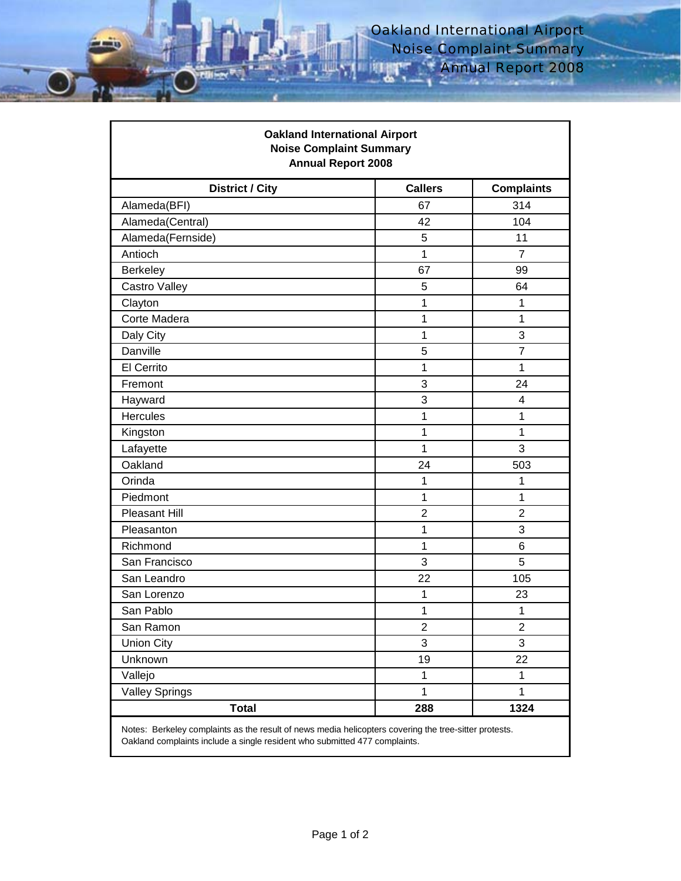| <b>Oakland International Airport</b><br><b>Noise Complaint Summary</b><br><b>Annual Report 2008</b> |                |                   |
|-----------------------------------------------------------------------------------------------------|----------------|-------------------|
| <b>District / City</b>                                                                              | <b>Callers</b> | <b>Complaints</b> |
| Alameda(BFI)                                                                                        | 67             | 314               |
| Alameda(Central)                                                                                    | 42             | 104               |
| Alameda(Fernside)                                                                                   | 5              | 11                |
| Antioch                                                                                             | $\mathbf{1}$   | $\overline{7}$    |
| <b>Berkeley</b>                                                                                     | 67             | 99                |
| Castro Valley                                                                                       | 5              | 64                |
| Clayton                                                                                             | 1              | 1                 |
| Corte Madera                                                                                        | 1              | 1                 |
| Daly City                                                                                           | 1              | 3                 |
| Danville                                                                                            | 5              | $\overline{7}$    |
| El Cerrito                                                                                          | 1              | 1                 |
| Fremont                                                                                             | 3              | 24                |
| Hayward                                                                                             | 3              | 4                 |
| <b>Hercules</b>                                                                                     | 1              | 1                 |
| Kingston                                                                                            | 1              | 1                 |
| Lafayette                                                                                           | 1              | 3                 |
| Oakland                                                                                             | 24             | 503               |
| Orinda                                                                                              | 1              | 1                 |
| Piedmont                                                                                            | 1              | 1                 |
| <b>Pleasant Hill</b>                                                                                | $\overline{2}$ | $\overline{2}$    |
| Pleasanton                                                                                          | 1              | 3                 |
| Richmond                                                                                            | 1              | 6                 |
| San Francisco                                                                                       | 3              | 5                 |
| San Leandro                                                                                         | 22             | 105               |
| San Lorenzo                                                                                         | 1              | 23                |
| San Pablo                                                                                           | 1              | 1                 |
| San Ramon                                                                                           | 2              | 2                 |
| <b>Union City</b>                                                                                   | 3              | 3                 |
| Unknown                                                                                             | 19             | 22                |
| Vallejo                                                                                             | 1              | 1                 |
| <b>Valley Springs</b>                                                                               | 1              | 1                 |
| <b>Total</b>                                                                                        | 288            | 1324              |